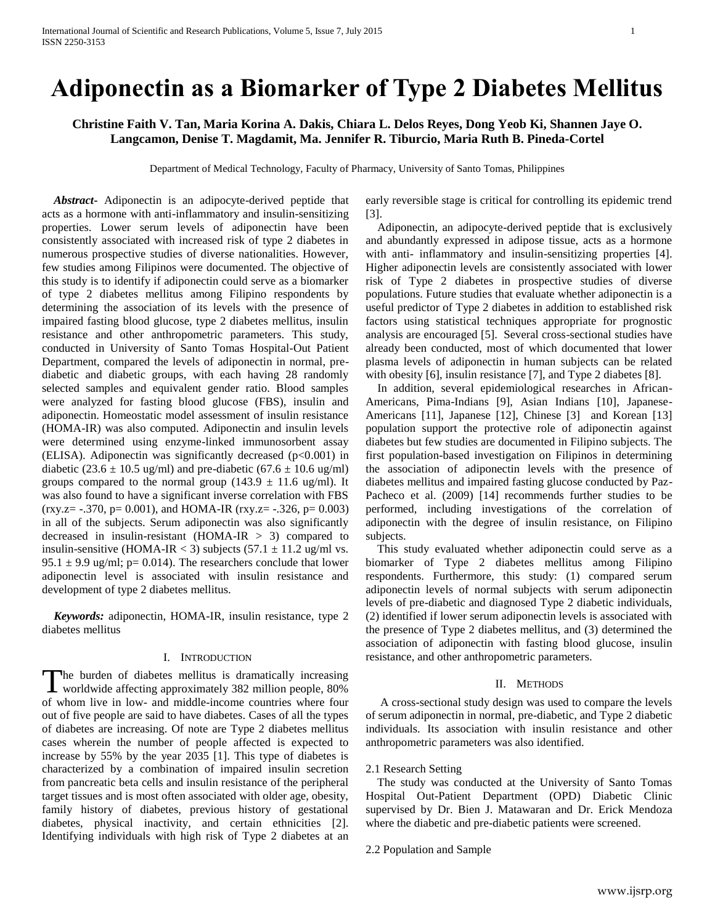# **Adiponectin as a Biomarker of Type 2 Diabetes Mellitus**

## **Christine Faith V. Tan, Maria Korina A. Dakis, Chiara L. Delos Reyes, Dong Yeob Ki, Shannen Jaye O. Langcamon, Denise T. Magdamit, Ma. Jennifer R. Tiburcio, Maria Ruth B. Pineda-Cortel**

Department of Medical Technology, Faculty of Pharmacy, University of Santo Tomas, Philippines

 *Abstract***-** Adiponectin is an adipocyte-derived peptide that acts as a hormone with anti-inflammatory and insulin-sensitizing properties. Lower serum levels of adiponectin have been consistently associated with increased risk of type 2 diabetes in numerous prospective studies of diverse nationalities. However, few studies among Filipinos were documented. The objective of this study is to identify if adiponectin could serve as a biomarker of type 2 diabetes mellitus among Filipino respondents by determining the association of its levels with the presence of impaired fasting blood glucose, type 2 diabetes mellitus, insulin resistance and other anthropometric parameters. This study, conducted in University of Santo Tomas Hospital-Out Patient Department, compared the levels of adiponectin in normal, prediabetic and diabetic groups, with each having 28 randomly selected samples and equivalent gender ratio. Blood samples were analyzed for fasting blood glucose (FBS), insulin and adiponectin. Homeostatic model assessment of insulin resistance (HOMA-IR) was also computed. Adiponectin and insulin levels were determined using enzyme-linked immunosorbent assay (ELISA). Adiponectin was significantly decreased  $(p<0.001)$  in diabetic (23.6  $\pm$  10.5 ug/ml) and pre-diabetic (67.6  $\pm$  10.6 ug/ml) groups compared to the normal group (143.9  $\pm$  11.6 ug/ml). It was also found to have a significant inverse correlation with FBS  $(rxy.z = -.370, p = 0.001)$ , and HOMA-IR  $(rxy.z = -.326, p = 0.003)$ in all of the subjects. Serum adiponectin was also significantly decreased in insulin-resistant (HOMA-IR  $>$  3) compared to insulin-sensitive (HOMA-IR < 3) subjects  $(57.1 \pm 11.2 \text{ ug/ml vs.})$ 95.1  $\pm$  9.9 ug/ml; p= 0.014). The researchers conclude that lower adiponectin level is associated with insulin resistance and development of type 2 diabetes mellitus.

 *Keywords:* adiponectin, HOMA-IR, insulin resistance, type 2 diabetes mellitus

## I. INTRODUCTION

The burden of diabetes mellitus is dramatically increasing<br>worldwide affecting approximately 382 million people, 80% **L** worldwide affecting approximately 382 million people, 80% of whom live in low- and middle-income countries where four out of five people are said to have diabetes. Cases of all the types of diabetes are increasing. Of note are Type 2 diabetes mellitus cases wherein the number of people affected is expected to increase by 55% by the year 2035 [1]. This type of diabetes is characterized by a combination of impaired insulin secretion from pancreatic beta cells and insulin resistance of the peripheral target tissues and is most often associated with older age, obesity, family history of diabetes, previous history of gestational diabetes, physical inactivity, and certain ethnicities [2]. Identifying individuals with high risk of Type 2 diabetes at an

early reversible stage is critical for controlling its epidemic trend [3].

 Adiponectin, an adipocyte-derived peptide that is exclusively and abundantly expressed in adipose tissue, acts as a hormone with anti- inflammatory and insulin-sensitizing properties [4]. Higher adiponectin levels are consistently associated with lower risk of Type 2 diabetes in prospective studies of diverse populations. Future studies that evaluate whether adiponectin is a useful predictor of Type 2 diabetes in addition to established risk factors using statistical techniques appropriate for prognostic analysis are encouraged [5]. Several cross-sectional studies have already been conducted, most of which documented that lower plasma levels of adiponectin in human subjects can be related with obesity [6], insulin resistance [7], and Type 2 diabetes [8].

 In addition, several epidemiological researches in African-Americans, Pima-Indians [9], Asian Indians [10], Japanese-Americans [11], Japanese [12], Chinese [3] and Korean [13] population support the protective role of adiponectin against diabetes but few studies are documented in Filipino subjects. The first population-based investigation on Filipinos in determining the association of adiponectin levels with the presence of diabetes mellitus and impaired fasting glucose conducted by Paz-Pacheco et al. (2009) [14] recommends further studies to be performed, including investigations of the correlation of adiponectin with the degree of insulin resistance, on Filipino subjects.

 This study evaluated whether adiponectin could serve as a biomarker of Type 2 diabetes mellitus among Filipino respondents. Furthermore, this study: (1) compared serum adiponectin levels of normal subjects with serum adiponectin levels of pre-diabetic and diagnosed Type 2 diabetic individuals, (2) identified if lower serum adiponectin levels is associated with the presence of Type 2 diabetes mellitus, and (3) determined the association of adiponectin with fasting blood glucose, insulin resistance, and other anthropometric parameters.

## II. METHODS

 A cross-sectional study design was used to compare the levels of serum adiponectin in normal, pre-diabetic, and Type 2 diabetic individuals. Its association with insulin resistance and other anthropometric parameters was also identified.

#### 2.1 Research Setting

 The study was conducted at the University of Santo Tomas Hospital Out-Patient Department (OPD) Diabetic Clinic supervised by Dr. Bien J. Matawaran and Dr. Erick Mendoza where the diabetic and pre-diabetic patients were screened.

#### 2.2 Population and Sample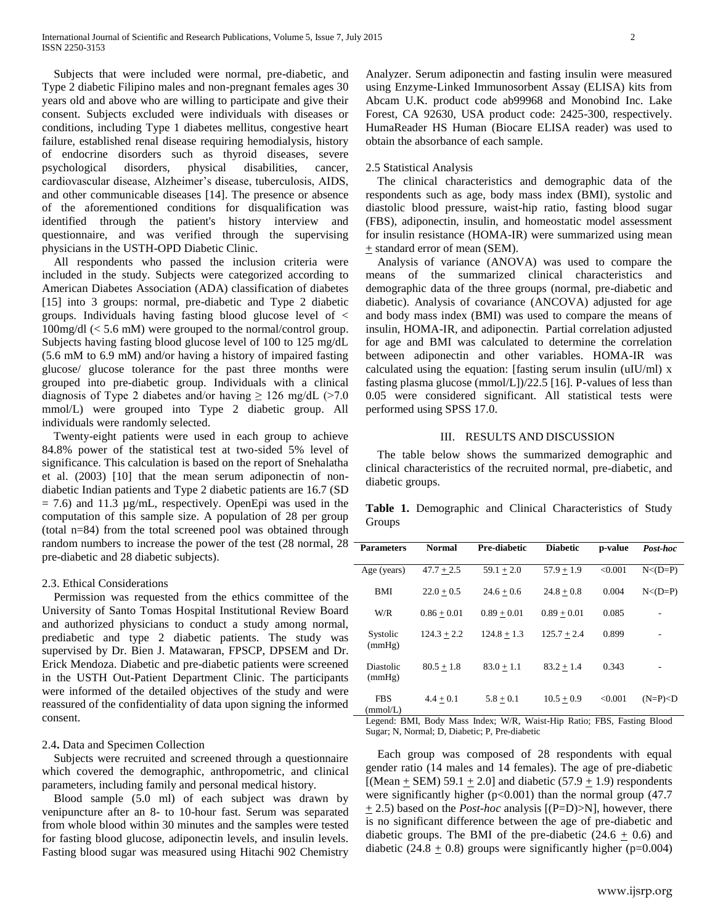Subjects that were included were normal, pre-diabetic, and Type 2 diabetic Filipino males and non-pregnant females ages 30 years old and above who are willing to participate and give their consent. Subjects excluded were individuals with diseases or conditions, including Type 1 diabetes mellitus, congestive heart failure, established renal disease requiring hemodialysis, history of endocrine disorders such as thyroid diseases, severe psychological disorders, physical disabilities, cancer, cardiovascular disease, Alzheimer's disease, tuberculosis, AIDS, and other communicable diseases [14]. The presence or absence of the aforementioned conditions for disqualification was identified through the patient's history interview and questionnaire, and was verified through the supervising physicians in the USTH-OPD Diabetic Clinic.

 All respondents who passed the inclusion criteria were included in the study. Subjects were categorized according to American Diabetes Association (ADA) classification of diabetes [15] into 3 groups: normal, pre-diabetic and Type 2 diabetic groups. Individuals having fasting blood glucose level of < 100mg/dl (< 5.6 mM) were grouped to the normal/control group. Subjects having fasting blood glucose level of 100 to 125 mg/dL (5.6 mM to 6.9 mM) and/or having a history of impaired fasting glucose/ glucose tolerance for the past three months were grouped into pre-diabetic group. Individuals with a clinical diagnosis of Type 2 diabetes and/or having  $\geq 126$  mg/dL (>7.0 mmol/L) were grouped into Type 2 diabetic group. All individuals were randomly selected.

 Twenty-eight patients were used in each group to achieve 84.8% power of the statistical test at two-sided 5% level of significance. This calculation is based on the report of Snehalatha et al. (2003) [10] that the mean serum adiponectin of nondiabetic Indian patients and Type 2 diabetic patients are 16.7 (SD  $= 7.6$ ) and 11.3  $\mu$ g/mL, respectively. OpenEpi was used in the computation of this sample size. A population of 28 per group (total n=84) from the total screened pool was obtained through random numbers to increase the power of the test (28 normal, 28 pre-diabetic and 28 diabetic subjects).

## 2.3. Ethical Considerations

 Permission was requested from the ethics committee of the University of Santo Tomas Hospital Institutional Review Board and authorized physicians to conduct a study among normal, prediabetic and type 2 diabetic patients. The study was supervised by Dr. Bien J. Matawaran, FPSCP, DPSEM and Dr. Erick Mendoza. Diabetic and pre-diabetic patients were screened in the USTH Out-Patient Department Clinic. The participants were informed of the detailed objectives of the study and were reassured of the confidentiality of data upon signing the informed consent.

#### 2.4**.** Data and Specimen Collection

 Subjects were recruited and screened through a questionnaire which covered the demographic, anthropometric, and clinical parameters, including family and personal medical history.

 Blood sample (5.0 ml) of each subject was drawn by venipuncture after an 8- to 10-hour fast. Serum was separated from whole blood within 30 minutes and the samples were tested for fasting blood glucose, adiponectin levels, and insulin levels. Fasting blood sugar was measured using Hitachi 902 Chemistry

Analyzer. Serum adiponectin and fasting insulin were measured using Enzyme-Linked Immunosorbent Assay (ELISA) kits from Abcam U.K. product code ab99968 and Monobind Inc. Lake Forest, CA 92630, USA product code: 2425-300, respectively. HumaReader HS Human (Biocare ELISA reader) was used to obtain the absorbance of each sample.

#### 2.5 Statistical Analysis

 The clinical characteristics and demographic data of the respondents such as age, body mass index (BMI), systolic and diastolic blood pressure, waist-hip ratio, fasting blood sugar (FBS), adiponectin, insulin, and homeostatic model assessment for insulin resistance (HOMA-IR) were summarized using mean  $\pm$  standard error of mean (SEM).

 Analysis of variance (ANOVA) was used to compare the means of the summarized clinical characteristics and demographic data of the three groups (normal, pre-diabetic and diabetic). Analysis of covariance (ANCOVA) adjusted for age and body mass index (BMI) was used to compare the means of insulin, HOMA-IR, and adiponectin. Partial correlation adjusted for age and BMI was calculated to determine the correlation between adiponectin and other variables. HOMA-IR was calculated using the equation: [fasting serum insulin (uIU/ml) x fasting plasma glucose (mmol/L])/22.5 [16]. P-values of less than 0.05 were considered significant. All statistical tests were performed using SPSS 17.0.

#### III. RESULTS AND DISCUSSION

 The table below shows the summarized demographic and clinical characteristics of the recruited normal, pre-diabetic, and diabetic groups.

**Table 1.** Demographic and Clinical Characteristics of Study Groups

| <b>Parameters</b>      | <b>Normal</b> | Pre-diabetic  | <b>Diabetic</b> | p-value | Post-hoc      |
|------------------------|---------------|---------------|-----------------|---------|---------------|
| Age (years)            | $47.7 + 2.5$  | $59.1 + 2.0$  | $57.9 + 1.9$    | < 0.001 | $N < (D = P)$ |
| BMI                    | $22.0 + 0.5$  | $24.6 + 0.6$  | $24.8 + 0.8$    | 0.004   | $N < (D = P)$ |
| W/R                    | $0.86 + 0.01$ | $0.89 + 0.01$ | $0.89 + 0.01$   | 0.085   |               |
| Systolic<br>(mmHg)     | $124.3 + 2.2$ | $124.8 + 1.3$ | $125.7 + 2.4$   | 0.899   |               |
| Diastolic<br>(mmHg)    | $80.5 + 1.8$  | $83.0 + 1.1$  | $83.2 + 1.4$    | 0.343   |               |
| <b>FBS</b><br>(mmol/L) | $4.4 + 0.1$   | $5.8 + 0.1$   | $10.5 + 0.9$    | < 0.001 | $(N=P) < D$   |

Legend: BMI, Body Mass Index; W/R, Waist-Hip Ratio; FBS, Fasting Blood Sugar; N, Normal; D, Diabetic; P, Pre-diabetic

 Each group was composed of 28 respondents with equal gender ratio (14 males and 14 females). The age of pre-diabetic [(Mean  $\pm$  SEM) 59.1  $\pm$  2.0] and diabetic (57.9  $\pm$  1.9) respondents were significantly higher ( $p<0.001$ ) than the normal group (47.7  $\pm$  2.5) based on the *Post-hoc* analysis [(P=D)>N], however, there is no significant difference between the age of pre-diabetic and diabetic groups. The BMI of the pre-diabetic  $(24.6 + 0.6)$  and diabetic (24.8  $\pm$  0.8) groups were significantly higher (p=0.004)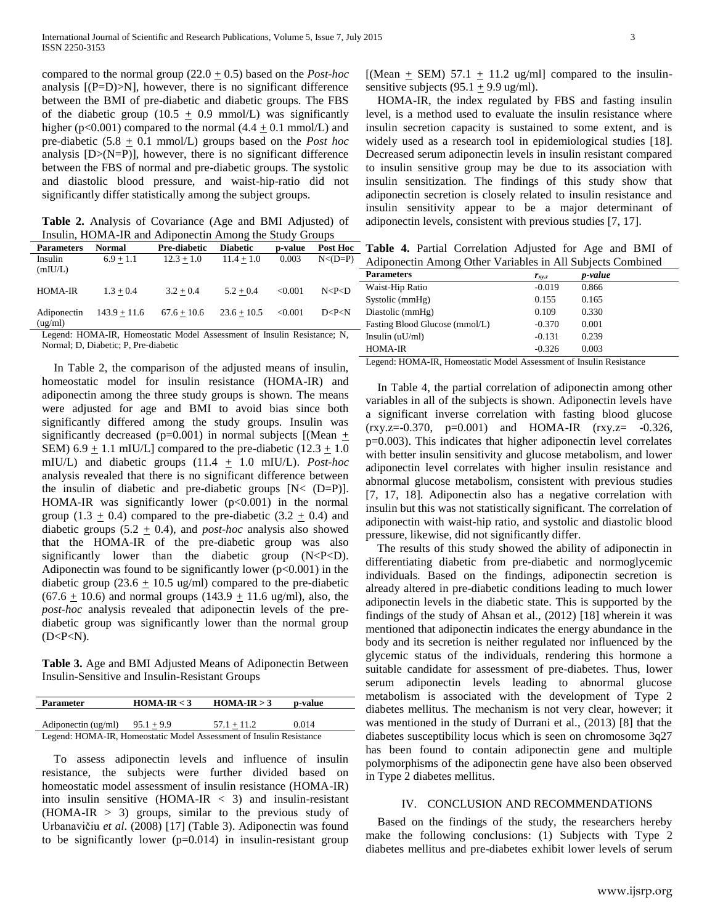compared to the normal group  $(22.0 + 0.5)$  based on the *Post-hoc* analysis  $[(P=D) > N]$ , however, there is no significant difference between the BMI of pre-diabetic and diabetic groups. The FBS of the diabetic group (10.5  $\pm$  0.9 mmol/L) was significantly higher (p<0.001) compared to the normal (4.4  $\pm$  0.1 mmol/L) and pre-diabetic  $(5.8 \pm 0.1 \text{ mmol/L})$  groups based on the *Post hoc* analysis  $[D>(N=P)]$ , however, there is no significant difference between the FBS of normal and pre-diabetic groups. The systolic and diastolic blood pressure, and waist-hip-ratio did not significantly differ statistically among the subject groups.

**Table 2.** Analysis of Covariance (Age and BMI Adjusted) of Insulin, HOMA-IR and Adiponectin Among the Study Groups

| <b>Parameters</b>      | Normal         | Pre-diabetic                                                                                                                                                                                                                          | <b>Diabetic</b>      | p-value  | <b>Post Hoc</b> |
|------------------------|----------------|---------------------------------------------------------------------------------------------------------------------------------------------------------------------------------------------------------------------------------------|----------------------|----------|-----------------|
| Insulin<br>(mIU/L)     | $6.9 + 1.1$    | $12.3 + 1.0$                                                                                                                                                                                                                          | $11.4 + 1.0$         | 0.003    | $N < (D = P)$   |
| <b>HOMA-IR</b>         | $1.3 + 0.4$    | $3.2 + 0.4$                                                                                                                                                                                                                           | $5.2 + 0.4$          | < 0.001  | N < P < D       |
| Adiponectin<br>(ug/ml) | $143.9 + 11.6$ | $67.6 + 10.6$                                                                                                                                                                                                                         | $23.6 + 10.5$        | < 0.001  | D < P < N       |
|                        |                | $\mathbf{r}$ . The state of the state $\mathbf{r}$ is the state of the state of the state of the state of the state of the state of the state of the state of the state of the state of the state of the state of the state of the st | $\sim$ $\sim$ $\sim$ | $\cdots$ | $\sim$ $\sim$   |

Legend: HOMA-IR, Homeostatic Model Assessment of Insulin Resistance; N, Normal; D, Diabetic; P, Pre-diabetic

 In Table 2, the comparison of the adjusted means of insulin, homeostatic model for insulin resistance (HOMA-IR) and adiponectin among the three study groups is shown. The means were adjusted for age and BMI to avoid bias since both significantly differed among the study groups. Insulin was significantly decreased (p=0.001) in normal subjects [(Mean  $+$ SEM) 6.9  $\pm$  1.1 mIU/L] compared to the pre-diabetic (12.3  $\pm$  1.0 mIU/L) and diabetic groups  $(11.4 + 1.0 \text{ mIU/L})$ . *Post-hoc* analysis revealed that there is no significant difference between the insulin of diabetic and pre-diabetic groups  $[N < (D=P)]$ . HOMA-IR was significantly lower  $(p<0.001)$  in the normal group  $(1.3 + 0.4)$  compared to the pre-diabetic  $(3.2 + 0.4)$  and diabetic groups (5.2 + 0.4), and *post-hoc* analysis also showed that the HOMA-IR of the pre-diabetic group was also significantly lower than the diabetic group  $(N < P < D)$ . Adiponectin was found to be significantly lower  $(p<0.001)$  in the diabetic group (23.6  $\pm$  10.5 ug/ml) compared to the pre-diabetic  $(67.6 \pm 10.6)$  and normal groups  $(143.9 \pm 11.6$  ug/ml), also, the *post-hoc* analysis revealed that adiponectin levels of the prediabetic group was significantly lower than the normal group  $(D < P < N)$ .

**Table 3.** Age and BMI Adjusted Means of Adiponectin Between Insulin-Sensitive and Insulin-Resistant Groups

| <b>Parameter</b>                                                    | $HOMA-IR < 3$ | $HOMA-IR > 3$ | p-value |  |
|---------------------------------------------------------------------|---------------|---------------|---------|--|
|                                                                     |               |               |         |  |
| Adiponectin (ug/ml)                                                 | $95.1 + 9.9$  | $57.1 + 11.2$ | 0.014   |  |
| Legend: HOMA-IR, Homeostatic Model Assessment of Insulin Resistance |               |               |         |  |

 To assess adiponectin levels and influence of insulin resistance, the subjects were further divided based on homeostatic model assessment of insulin resistance (HOMA-IR) into insulin sensitive  $(HOMA-IR < 3)$  and insulin-resistant  $(HOMA-IR > 3)$  groups, similar to the previous study of Urbanavičiu *et al*. (2008) [17] (Table 3). Adiponectin was found to be significantly lower  $(p=0.014)$  in insulin-resistant group [(Mean  $\pm$  SEM) 57.1  $\pm$  11.2 ug/ml] compared to the insulinsensitive subjects (95.1  $\pm$  9.9 ug/ml).

 HOMA-IR, the index regulated by FBS and fasting insulin level, is a method used to evaluate the insulin resistance where insulin secretion capacity is sustained to some extent, and is widely used as a research tool in epidemiological studies [18]. Decreased serum adiponectin levels in insulin resistant compared to insulin sensitive group may be due to its association with insulin sensitization. The findings of this study show that adiponectin secretion is closely related to insulin resistance and insulin sensitivity appear to be a major determinant of adiponectin levels, consistent with previous studies [7, 17].

**Table 4.** Partial Correlation Adjusted for Age and BMI of Adiponectin Among Other Variables in All Subjects Combined

| <b>Parameters</b>              | $r_{xy,z}$ | <i>p</i> -value |  |  |
|--------------------------------|------------|-----------------|--|--|
| Waist-Hip Ratio                | $-0.019$   | 0.866           |  |  |
| Systolic (mmHg)                | 0.155      | 0.165           |  |  |
| Diastolic (mmHg)               | 0.109      | 0.330           |  |  |
| Fasting Blood Glucose (mmol/L) | $-0.370$   | 0.001           |  |  |
| Insulin $(uU/ml)$              | $-0.131$   | 0.239           |  |  |
| <b>HOMA-IR</b>                 | $-0.326$   | 0.003           |  |  |

Legend: HOMA-IR, Homeostatic Model Assessment of Insulin Resistance

 In Table 4, the partial correlation of adiponectin among other variables in all of the subjects is shown. Adiponectin levels have a significant inverse correlation with fasting blood glucose  $(rxy.z = -0.370, p=0.001)$  and HOMA-IR  $(rxy.z = -0.326,$ p=0.003). This indicates that higher adiponectin level correlates with better insulin sensitivity and glucose metabolism, and lower adiponectin level correlates with higher insulin resistance and abnormal glucose metabolism, consistent with previous studies [7, 17, 18]. Adiponectin also has a negative correlation with insulin but this was not statistically significant. The correlation of adiponectin with waist-hip ratio, and systolic and diastolic blood pressure, likewise, did not significantly differ.

 The results of this study showed the ability of adiponectin in differentiating diabetic from pre-diabetic and normoglycemic individuals. Based on the findings, adiponectin secretion is already altered in pre-diabetic conditions leading to much lower adiponectin levels in the diabetic state. This is supported by the findings of the study of Ahsan et al., (2012) [18] wherein it was mentioned that adiponectin indicates the energy abundance in the body and its secretion is neither regulated nor influenced by the glycemic status of the individuals, rendering this hormone a suitable candidate for assessment of pre-diabetes. Thus, lower serum adiponectin levels leading to abnormal glucose metabolism is associated with the development of Type 2 diabetes mellitus. The mechanism is not very clear, however; it was mentioned in the study of Durrani et al., (2013) [8] that the diabetes susceptibility locus which is seen on chromosome 3q27 has been found to contain adiponectin gene and multiple polymorphisms of the adiponectin gene have also been observed in Type 2 diabetes mellitus.

#### IV. CONCLUSION AND RECOMMENDATIONS

 Based on the findings of the study, the researchers hereby make the following conclusions: (1) Subjects with Type 2 diabetes mellitus and pre-diabetes exhibit lower levels of serum